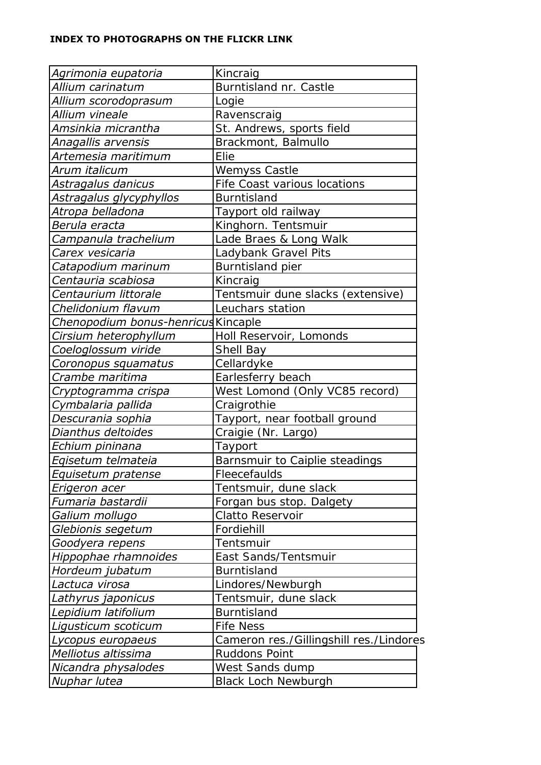## **INDEX TO PHOTOGRAPHS ON THE FLICKR LINK**

| Agrimonia eupatoria                        | Kincraig                                |
|--------------------------------------------|-----------------------------------------|
| Allium carinatum                           | Burntisland nr. Castle                  |
| Allium scorodoprasum                       | Logie                                   |
| Allium vineale                             | Ravenscraig                             |
| Amsinkia micrantha                         |                                         |
|                                            | St. Andrews, sports field               |
| Anagallis arvensis                         | Brackmont, Balmullo<br>Elie             |
| Artemesia maritimum                        |                                         |
| Arum italicum                              | Wemyss Castle                           |
| Astragalus danicus                         | Fife Coast various locations            |
| Astragalus glycyphyllos                    | <b>Burntisland</b>                      |
| Atropa belladona                           | Tayport old railway                     |
| Berula eracta                              | Kinghorn. Tentsmuir                     |
| Campanula trachelium                       | Lade Braes & Long Walk                  |
| Carex vesicaria                            | Ladybank Gravel Pits                    |
| Catapodium marinum                         | Burntisland pier                        |
| Centauria scabiosa                         | Kincraig                                |
| Centaurium littorale                       | Tentsmuir dune slacks (extensive)       |
| Chelidonium flavum                         | Leuchars station                        |
| <b>Chenopodium bonus-henricus Kincaple</b> |                                         |
| Cirsium heterophyllum                      | Holl Reservoir, Lomonds                 |
| Coeloglossum viride                        | Shell Bay                               |
| Coronopus squamatus                        | Cellardyke                              |
| Crambe maritima                            | Earlesferry beach                       |
| Cryptogramma crispa                        | West Lomond (Only VC85 record)          |
| Cymbalaria pallida                         | Craigrothie                             |
| Descurania sophia                          | Tayport, near football ground           |
| Dianthus deltoides                         | Craigie (Nr. Largo)                     |
| Echium pininana                            | Tayport                                 |
| Eqisetum telmateia                         | Barnsmuir to Caiplie steadings          |
| Equisetum pratense                         | Fleecefaulds                            |
| Erigeron acer                              | Tentsmuir, dune slack                   |
| Fumaria bastardii                          | Forgan bus stop. Dalgety                |
| Galium mollugo                             | Clatto Reservoir                        |
| Glebionis segetum                          | Fordiehill                              |
| Goodyera repens                            | Tentsmuir                               |
| Hippophae rhamnoides                       | East Sands/Tentsmuir                    |
| Hordeum jubatum                            | <b>Burntisland</b>                      |
| Lactuca virosa                             | Lindores/Newburgh                       |
| Lathyrus japonicus                         | Tentsmuir, dune slack                   |
| Lepidium latifolium                        | <b>Burntisland</b>                      |
| Ligusticum scoticum                        | <b>Fife Ness</b>                        |
| Lycopus europaeus                          | Cameron res./Gillingshill res./Lindores |
| Melliotus altissima                        | Ruddons Point                           |
| Nicandra physalodes                        | West Sands dump                         |
| Nuphar lutea                               | <b>Black Loch Newburgh</b>              |
|                                            |                                         |